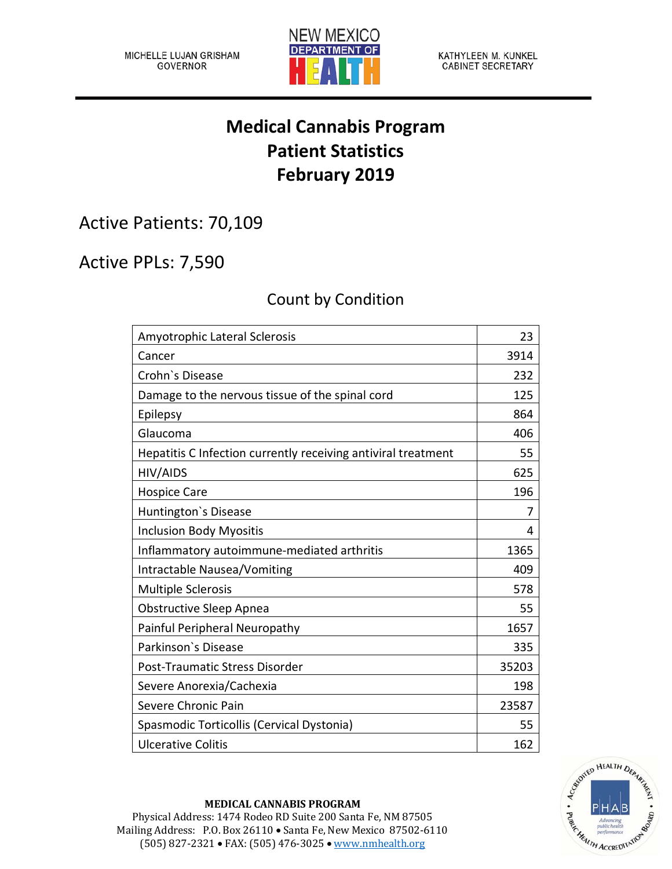

KATHYLEEN M. KUNKEL **CABINET SECRETARY** 

## **Medical Cannabis Program Patient Statistics February 2019**

Active Patients: 70,109

Active PPLs: 7,590

## Count by Condition

| Amyotrophic Lateral Sclerosis                                 | 23    |
|---------------------------------------------------------------|-------|
| Cancer                                                        | 3914  |
| Crohn's Disease                                               | 232   |
| Damage to the nervous tissue of the spinal cord               | 125   |
| Epilepsy                                                      | 864   |
| Glaucoma                                                      | 406   |
| Hepatitis C Infection currently receiving antiviral treatment | 55    |
| HIV/AIDS                                                      | 625   |
| <b>Hospice Care</b>                                           | 196   |
| Huntington's Disease                                          | 7     |
| <b>Inclusion Body Myositis</b>                                | 4     |
| Inflammatory autoimmune-mediated arthritis                    | 1365  |
| Intractable Nausea/Vomiting                                   | 409   |
| <b>Multiple Sclerosis</b>                                     | 578   |
| <b>Obstructive Sleep Apnea</b>                                | 55    |
| Painful Peripheral Neuropathy                                 | 1657  |
| Parkinson's Disease                                           | 335   |
| Post-Traumatic Stress Disorder                                | 35203 |
| Severe Anorexia/Cachexia                                      | 198   |
| Severe Chronic Pain                                           | 23587 |
| Spasmodic Torticollis (Cervical Dystonia)                     | 55    |
| <b>Ulcerative Colitis</b>                                     | 162   |



## **MEDICAL CANNABIS PROGRAM**

Physical Address: 1474 Rodeo RD Suite 200 Santa Fe, NM 87505 Mailing Address: P.O. Box 26110 • Santa Fe, New Mexico 87502-6110 (505) 827-2321 • FAX: (505) 476-3025 • [www.nmhealth.org](http://www.nmhealth.org/)